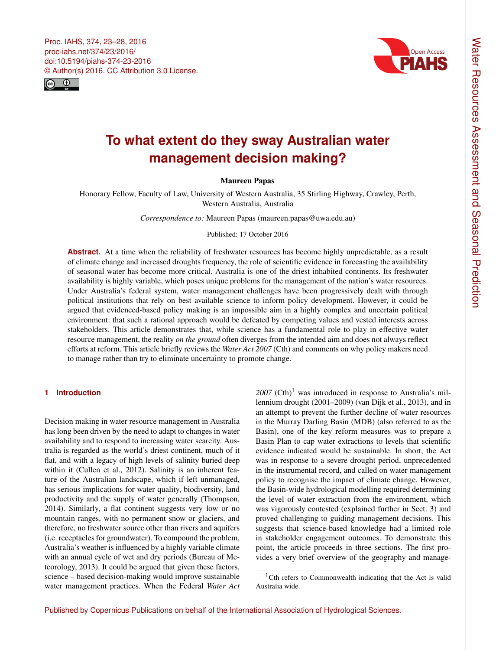<span id="page-0-0"></span>Proc. IAHS, 374, 23–28, 2016 proc-iahs.net/374/23/2016/ doi:10.5194/piahs-374-23-2016 © Author(s) 2016. CC Attribution 3.0 License.





# **To what extent do they sway Australian water management decision making?**

# Maureen Papas

Honorary Fellow, Faculty of Law, University of Western Australia, 35 Stirling Highway, Crawley, Perth, Western Australia, Australia

*Correspondence to:* Maureen Papas (maureen.papas@uwa.edu.au)

#### Published: 17 October 2016

Abstract. At a time when the reliability of freshwater resources has become highly unpredictable, as a result of climate change and increased droughts frequency, the role of scientific evidence in forecasting the availability of seasonal water has become more critical. Australia is one of the driest inhabited continents. Its freshwater availability is highly variable, which poses unique problems for the management of the nation's water resources. Under Australia's federal system, water management challenges have been progressively dealt with through political institutions that rely on best available science to inform policy development. However, it could be argued that evidenced-based policy making is an impossible aim in a highly complex and uncertain political environment: that such a rational approach would be defeated by competing values and vested interests across stakeholders. This article demonstrates that, while science has a fundamental role to play in effective water resource management, the reality *on the ground* often diverges from the intended aim and does not always reflect efforts at reform. This article briefly reviews the *Water Act 2007* (Cth) and comments on why policy makers need to manage rather than try to eliminate uncertainty to promote change.

# **1 Introduction**

Decision making in water resource management in Australia has long been driven by the need to adapt to changes in water availability and to respond to increasing water scarcity. Australia is regarded as the world's driest continent, much of it flat, and with a legacy of high levels of salinity buried deep within it (Cullen et al., 2012). Salinity is an inherent feature of the Australian landscape, which if left unmanaged, has serious implications for water quality, biodiversity, land productivity and the supply of water generally (Thompson, 2014). Similarly, a flat continent suggests very low or no mountain ranges, with no permanent snow or glaciers, and therefore, no freshwater source other than rivers and aquifers (i.e. receptacles for groundwater). To compound the problem, Australia's weather is influenced by a highly variable climate with an annual cycle of wet and dry periods (Bureau of Meteorology, 2013). It could be argued that given these factors, science – based decision-making would improve sustainable water management practices. When the Federal *Water Act*

 $2007$  (Cth)<sup>1</sup> was introduced in response to Australia's millennium drought (2001–2009) (van Dijk et al., 2013), and in an attempt to prevent the further decline of water resources in the Murray Darling Basin (MDB) (also referred to as the Basin), one of the key reform measures was to prepare a Basin Plan to cap water extractions to levels that scientific evidence indicated would be sustainable. In short, the Act was in response to a severe drought period, unprecedented in the instrumental record, and called on water management policy to recognise the impact of climate change. However, the Basin-wide hydrological modelling required determining the level of water extraction from the environment, which was vigorously contested (explained further in Sect. 3) and proved challenging to guiding management decisions. This suggests that science-based knowledge had a limited role in stakeholder engagement outcomes. To demonstrate this point, the article proceeds in three sections. The first provides a very brief overview of the geography and manage-

<sup>&</sup>lt;sup>1</sup>Cth refers to Commonwealth indicating that the Act is valid Australia wide.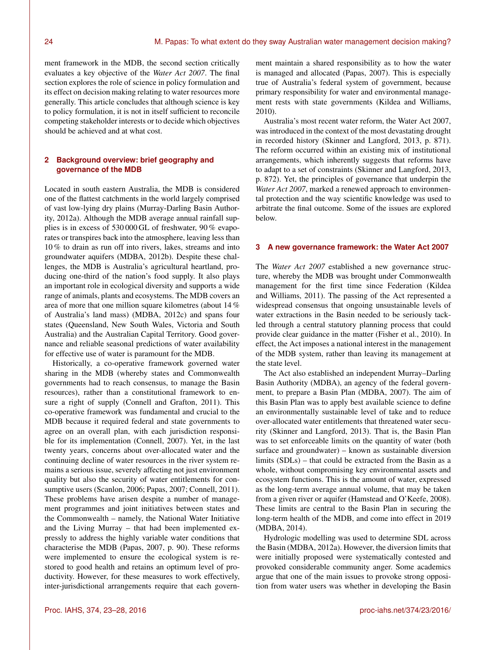ment framework in the MDB, the second section critically evaluates a key objective of the *Water Act 2007*. The final section explores the role of science in policy formulation and its effect on decision making relating to water resources more generally. This article concludes that although science is key to policy formulation, it is not in itself sufficient to reconcile competing stakeholder interests or to decide which objectives should be achieved and at what cost.

# **2 Background overview: brief geography and governance of the MDB**

Located in south eastern Australia, the MDB is considered one of the flattest catchments in the world largely comprised of vast low-lying dry plains (Murray-Darling Basin Authority, 2012a). Although the MDB average annual rainfall supplies is in excess of 530 000 GL of freshwater, 90 % evaporates or transpires back into the atmosphere, leaving less than 10 % to drain as run off into rivers, lakes, streams and into groundwater aquifers (MDBA, 2012b). Despite these challenges, the MDB is Australia's agricultural heartland, producing one-third of the nation's food supply. It also plays an important role in ecological diversity and supports a wide range of animals, plants and ecosystems. The MDB covers an area of more that one million square kilometres (about 14 % of Australia's land mass) (MDBA, 2012c) and spans four states (Queensland, New South Wales, Victoria and South Australia) and the Australian Capital Territory. Good governance and reliable seasonal predictions of water availability for effective use of water is paramount for the MDB.

Historically, a co-operative framework governed water sharing in the MDB (whereby states and Commonwealth governments had to reach consensus, to manage the Basin resources), rather than a constitutional framework to ensure a right of supply (Connell and Grafton, 2011). This co-operative framework was fundamental and crucial to the MDB because it required federal and state governments to agree on an overall plan, with each jurisdiction responsible for its implementation (Connell, 2007). Yet, in the last twenty years, concerns about over-allocated water and the continuing decline of water resources in the river system remains a serious issue, severely affecting not just environment quality but also the security of water entitlements for consumptive users (Scanlon, 2006; Papas, 2007; Connell, 2011). These problems have arisen despite a number of management programmes and joint initiatives between states and the Commonwealth – namely, the National Water Initiative and the Living Murray – that had been implemented expressly to address the highly variable water conditions that characterise the MDB (Papas, 2007, p. 90). These reforms were implemented to ensure the ecological system is restored to good health and retains an optimum level of productivity. However, for these measures to work effectively, inter-jurisdictional arrangements require that each government maintain a shared responsibility as to how the water is managed and allocated (Papas, 2007). This is especially true of Australia's federal system of government, because primary responsibility for water and environmental management rests with state governments (Kildea and Williams, 2010).

Australia's most recent water reform, the Water Act 2007, was introduced in the context of the most devastating drought in recorded history (Skinner and Langford, 2013, p. 871). The reform occurred within an existing mix of institutional arrangements, which inherently suggests that reforms have to adapt to a set of constraints (Skinner and Langford, 2013, p. 872). Yet, the principles of governance that underpin the *Water Act 2007*, marked a renewed approach to environmental protection and the way scientific knowledge was used to arbitrate the final outcome. Some of the issues are explored below.

# **3 A new governance framework: the Water Act 2007**

The *Water Act 2007* established a new governance structure, whereby the MDB was brought under Commonwealth management for the first time since Federation (Kildea and Williams, 2011). The passing of the Act represented a widespread consensus that ongoing unsustainable levels of water extractions in the Basin needed to be seriously tackled through a central statutory planning process that could provide clear guidance in the matter (Fisher et al., 2010). In effect, the Act imposes a national interest in the management of the MDB system, rather than leaving its management at the state level.

The Act also established an independent Murray–Darling Basin Authority (MDBA), an agency of the federal government, to prepare a Basin Plan (MDBA, 2007). The aim of this Basin Plan was to apply best available science to define an environmentally sustainable level of take and to reduce over-allocated water entitlements that threatened water security (Skinner and Langford, 2013). That is, the Basin Plan was to set enforceable limits on the quantity of water (both surface and groundwater) – known as sustainable diversion limits (SDLs) – that could be extracted from the Basin as a whole, without compromising key environmental assets and ecosystem functions. This is the amount of water, expressed as the long-term average annual volume, that may be taken from a given river or aquifer (Hamstead and O'Keefe, 2008). These limits are central to the Basin Plan in securing the long-term health of the MDB, and come into effect in 2019 (MDBA, 2014).

Hydrologic modelling was used to determine SDL across the Basin (MDBA, 2012a). However, the diversion limits that were initially proposed were systematically contested and provoked considerable community anger. Some academics argue that one of the main issues to provoke strong opposition from water users was whether in developing the Basin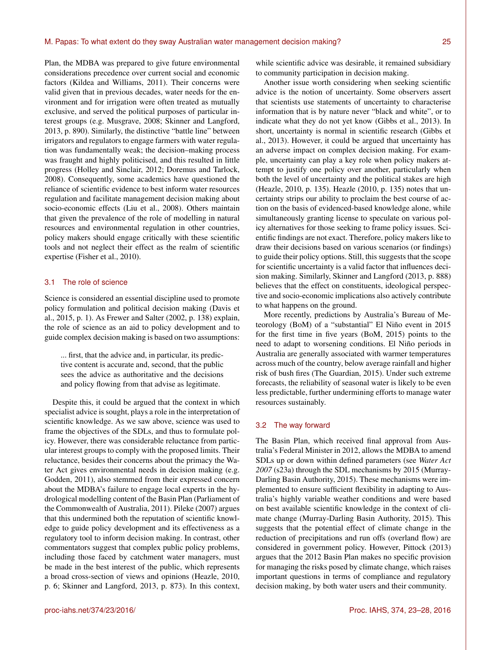Plan, the MDBA was prepared to give future environmental considerations precedence over current social and economic factors (Kildea and Williams, 2011). Their concerns were valid given that in previous decades, water needs for the environment and for irrigation were often treated as mutually exclusive, and served the political purposes of particular interest groups (e.g. Musgrave, 2008; Skinner and Langford, 2013, p. 890). Similarly, the distinctive "battle line" between irrigators and regulators to engage farmers with water regulation was fundamentally weak; the decision–making process was fraught and highly politicised, and this resulted in little progress (Holley and Sinclair, 2012; Doremus and Tarlock, 2008). Consequently, some academics have questioned the reliance of scientific evidence to best inform water resources regulation and facilitate management decision making about socio-economic effects (Liu et al., 2008). Others maintain that given the prevalence of the role of modelling in natural resources and environmental regulation in other countries, policy makers should engage critically with these scientific tools and not neglect their effect as the realm of scientific expertise (Fisher et al., 2010).

# 3.1 The role of science

Science is considered an essential discipline used to promote policy formulation and political decision making (Davis et al., 2015, p. 1). As Frewer and Salter (2002, p. 138) explain, the role of science as an aid to policy development and to guide complex decision making is based on two assumptions:

... first, that the advice and, in particular, its predictive content is accurate and, second, that the public sees the advice as authoritative and the decisions and policy flowing from that advise as legitimate.

Despite this, it could be argued that the context in which specialist advice is sought, plays a role in the interpretation of scientific knowledge. As we saw above, science was used to frame the objectives of the SDLs, and thus to formulate policy. However, there was considerable reluctance from particular interest groups to comply with the proposed limits. Their reluctance, besides their concerns about the primacy the Water Act gives environmental needs in decision making (e.g. Godden, 2011), also stemmed from their expressed concern about the MDBA's failure to engage local experts in the hydrological modelling content of the Basin Plan (Parliament of the Commonwealth of Australia, 2011). Pileke (2007) argues that this undermined both the reputation of scientific knowledge to guide policy development and its effectiveness as a regulatory tool to inform decision making. In contrast, other commentators suggest that complex public policy problems, including those faced by catchment water managers, must be made in the best interest of the public, which represents a broad cross-section of views and opinions (Heazle, 2010, p. 6; Skinner and Langford, 2013, p. 873). In this context,

while scientific advice was desirable, it remained subsidiary to community participation in decision making.

Another issue worth considering when seeking scientific advice is the notion of uncertainty. Some observers assert that scientists use statements of uncertainty to characterise information that is by nature never "black and white", or to indicate what they do not yet know (Gibbs et al., 2013). In short, uncertainty is normal in scientific research (Gibbs et al., 2013). However, it could be argued that uncertainty has an adverse impact on complex decision making. For example, uncertainty can play a key role when policy makers attempt to justify one policy over another, particularly when both the level of uncertainty and the political stakes are high (Heazle, 2010, p. 135). Heazle (2010, p. 135) notes that uncertainty strips our ability to proclaim the best course of action on the basis of evidenced-based knowledge alone, while simultaneously granting license to speculate on various policy alternatives for those seeking to frame policy issues. Scientific findings are not exact. Therefore, policy makers like to draw their decisions based on various scenarios (or findings) to guide their policy options. Still, this suggests that the scope for scientific uncertainty is a valid factor that influences decision making. Similarly, Skinner and Langford (2013, p. 888) believes that the effect on constituents, ideological perspective and socio-economic implications also actively contribute to what happens on the ground.

More recently, predictions by Australia's Bureau of Meteorology (BoM) of a "substantial" El Niño event in 2015 for the first time in five years (BoM, 2015) points to the need to adapt to worsening conditions. El Niño periods in Australia are generally associated with warmer temperatures across much of the country, below average rainfall and higher risk of bush fires (The Guardian, 2015). Under such extreme forecasts, the reliability of seasonal water is likely to be even less predictable, further undermining efforts to manage water resources sustainably.

#### 3.2 The way forward

The Basin Plan, which received final approval from Australia's Federal Minister in 2012, allows the MDBA to amend SDLs up or down within defined parameters (see *Water Act 2007* (s23a) through the SDL mechanisms by 2015 (Murray-Darling Basin Authority, 2015). These mechanisms were implemented to ensure sufficient flexibility in adapting to Australia's highly variable weather conditions and were based on best available scientific knowledge in the context of climate change (Murray-Darling Basin Authority, 2015). This suggests that the potential effect of climate change in the reduction of precipitations and run offs (overland flow) are considered in government policy. However, Pittock (2013) argues that the 2012 Basin Plan makes no specific provision for managing the risks posed by climate change, which raises important questions in terms of compliance and regulatory decision making, by both water users and their community.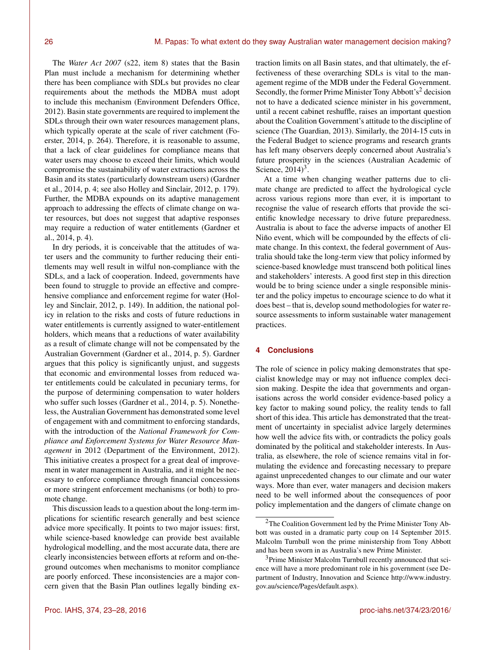The *Water Act 2007* (s22, item 8) states that the Basin Plan must include a mechanism for determining whether there has been compliance with SDLs but provides no clear requirements about the methods the MDBA must adopt to include this mechanism (Environment Defenders Office, 2012). Basin state governments are required to implement the SDLs through their own water resources management plans, which typically operate at the scale of river catchment (Foerster, 2014, p. 264). Therefore, it is reasonable to assume, that a lack of clear guidelines for compliance means that water users may choose to exceed their limits, which would compromise the sustainability of water extractions across the Basin and its states (particularly downstream users) (Gardner et al., 2014, p. 4; see also Holley and Sinclair, 2012, p. 179). Further, the MDBA expounds on its adaptive management approach to addressing the effects of climate change on water resources, but does not suggest that adaptive responses may require a reduction of water entitlements (Gardner et al., 2014, p. 4).

In dry periods, it is conceivable that the attitudes of water users and the community to further reducing their entitlements may well result in wilful non-compliance with the SDLs, and a lack of cooperation. Indeed, governments have been found to struggle to provide an effective and comprehensive compliance and enforcement regime for water (Holley and Sinclair, 2012, p. 149). In addition, the national policy in relation to the risks and costs of future reductions in water entitlements is currently assigned to water-entitlement holders, which means that a reductions of water availability as a result of climate change will not be compensated by the Australian Government (Gardner et al., 2014, p. 5). Gardner argues that this policy is significantly unjust, and suggests that economic and environmental losses from reduced water entitlements could be calculated in pecuniary terms, for the purpose of determining compensation to water holders who suffer such losses (Gardner et al., 2014, p. 5). Nonetheless, the Australian Government has demonstrated some level of engagement with and commitment to enforcing standards, with the introduction of the *National Framework for Compliance and Enforcement Systems for Water Resource Management* in 2012 (Department of the Environment, 2012). This initiative creates a prospect for a great deal of improvement in water management in Australia, and it might be necessary to enforce compliance through financial concessions or more stringent enforcement mechanisms (or both) to promote change.

This discussion leads to a question about the long-term implications for scientific research generally and best science advice more specifically. It points to two major issues: first, while science-based knowledge can provide best available hydrological modelling, and the most accurate data, there are clearly inconsistencies between efforts at reform and on-theground outcomes when mechanisms to monitor compliance are poorly enforced. These inconsistencies are a major concern given that the Basin Plan outlines legally binding extraction limits on all Basin states, and that ultimately, the effectiveness of these overarching SDLs is vital to the management regime of the MDB under the Federal Government. Secondly, the former Prime Minister Tony Abbott's<sup>2</sup> decision not to have a dedicated science minister in his government, until a recent cabinet reshuffle, raises an important question about the Coalition Government's attitude to the discipline of science (The Guardian, 2013). Similarly, the 2014-15 cuts in the Federal Budget to science programs and research grants has left many observers deeply concerned about Australia's future prosperity in the sciences (Australian Academic of Science,  $2014$ <sup>3</sup>.

At a time when changing weather patterns due to climate change are predicted to affect the hydrological cycle across various regions more than ever, it is important to recognise the value of research efforts that provide the scientific knowledge necessary to drive future preparedness. Australia is about to face the adverse impacts of another El Niño event, which will be compounded by the effects of climate change. In this context, the federal government of Australia should take the long-term view that policy informed by science-based knowledge must transcend both political lines and stakeholders' interests. A good first step in this direction would be to bring science under a single responsible minister and the policy impetus to encourage science to do what it does best – that is, develop sound methodologies for water resource assessments to inform sustainable water management practices.

## **4 Conclusions**

The role of science in policy making demonstrates that specialist knowledge may or may not influence complex decision making. Despite the idea that governments and organisations across the world consider evidence-based policy a key factor to making sound policy, the reality tends to fall short of this idea. This article has demonstrated that the treatment of uncertainty in specialist advice largely determines how well the advice fits with, or contradicts the policy goals dominated by the political and stakeholder interests. In Australia, as elsewhere, the role of science remains vital in formulating the evidence and forecasting necessary to prepare against unprecedented changes to our climate and our water ways. More than ever, water managers and decision makers need to be well informed about the consequences of poor policy implementation and the dangers of climate change on

<sup>2</sup>The Coalition Government led by the Prime Minister Tony Abbott was ousted in a dramatic party coup on 14 September 2015. Malcolm Turnbull won the prime ministership from Tony Abbott and has been sworn in as Australia's new Prime Minister.

<sup>&</sup>lt;sup>3</sup>Prime Minister Malcolm Turnbull recently announced that science will have a more predominant role in his government (see Department of Industry, Innovation and Science [http://www.industry.](http://www.industry.gov.au/science/Pages/default.aspx) [gov.au/science/Pages/default.aspx\)](http://www.industry.gov.au/science/Pages/default.aspx).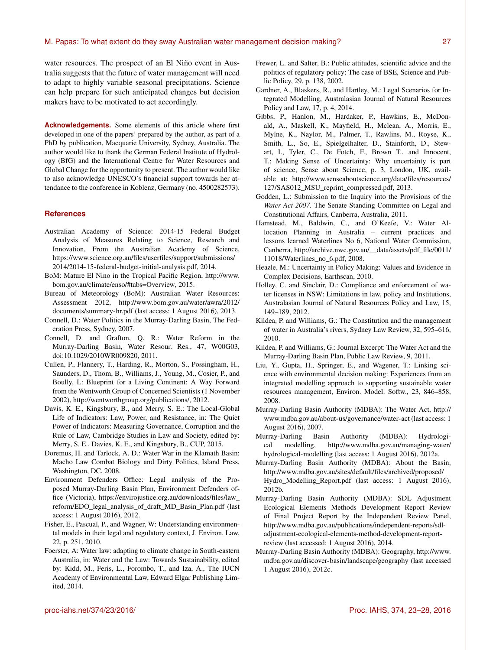water resources. The prospect of an El Niño event in Australia suggests that the future of water management will need to adapt to highly variable seasonal precipitations. Science can help prepare for such anticipated changes but decision makers have to be motivated to act accordingly.

**Acknowledgements.** Some elements of this article where first developed in one of the papers' prepared by the author, as part of a PhD by publication, Macquarie University, Sydney, Australia. The author would like to thank the German Federal Institute of Hydrology (BfG) and the International Centre for Water Resources and Global Change for the opportunity to present. The author would like to also acknowledge UNESCO's financial support towards her attendance to the conference in Koblenz, Germany (no. 4500282573).

## **References**

- Australian Academy of Science: 2014-15 Federal Budget Analysis of Measures Relating to Science, Research and Innovation, From the Australian Academy of Science, [https://www.science.org.au/files/userfiles/support/submissions/](https://www.science.org.au/files/userfiles/support/submissions/2014/2014-15-federal-budget-initial-analysis.pdf) [2014/2014-15-federal-budget-initial-analysis.pdf,](https://www.science.org.au/files/userfiles/support/submissions/2014/2014-15-federal-budget-initial-analysis.pdf) 2014.
- BoM: Mature El Nino in the Tropical Pacific Region, [http://www.](http://www.bom.gov.au/climate/enso/#tabs=Overview) [bom.gov.au/climate/enso/#tabs=Overview,](http://www.bom.gov.au/climate/enso/#tabs=Overview) 2015.
- Bureau of Meteorology (BoM): Australian Water Resources: Assessment 2012, [http://www.bom.gov.au/water/awra/2012/](http://www.bom.gov.au/water/awra/2012/documents/summary-hr.pdf) [documents/summary-hr.pdf](http://www.bom.gov.au/water/awra/2012/documents/summary-hr.pdf) (last access: 1 August 2016), 2013.
- Connell, D.: Water Politics in the Murray-Darling Basin, The Federation Press, Sydney, 2007.
- Connell, D. and Grafton, Q. R.: Water Reform in the Murray-Darling Basin, Water Resour. Res., 47, W00G03, doi[:10.1029/2010WR009820,](http://dx.doi.org/10.1029/2010WR009820) 2011.
- Cullen, P., Flannery, T., Harding, R., Morton, S., Possingham, H., Saunders, D., Thom, B., Williams, J., Young, M., Cosier, P., and Boully, L: Blueprint for a Living Continent: A Way Forward from the Wentworth Group of Concerned Scientists (1 November 2002), [http://wentworthgroup.org/publications/,](http://wentworthgroup.org/publications/) 2012.
- Davis, K. E., Kingsbury, B., and Merry, S. E.: The Local-Global Life of Indicators: Law, Power, and Resistance, in: The Quiet Power of Indicators: Measuring Governance, Corruption and the Rule of Law, Cambridge Studies in Law and Society, edited by: Merry, S. E., Davies, K. E., and Kingsbury, B., CUP, 2015.
- Doremus, H. and Tarlock, A. D.: Water War in the Klamath Basin: Macho Law Combat Biology and Dirty Politics, Island Press, Washington, DC, 2008.
- Environment Defenders Office: Legal analysis of the Proposed Murray-Darling Basin Plan, Environment Defenders office (Victoria), [https://envirojustice.org.au/downloads/files/law\\_](https://envirojustice.org.au/downloads/files/law_reform/EDO_legal_analysis_of_draft_MD_Basin_Plan.pdf) [reform/EDO\\_legal\\_analysis\\_of\\_draft\\_MD\\_Basin\\_Plan.pdf](https://envirojustice.org.au/downloads/files/law_reform/EDO_legal_analysis_of_draft_MD_Basin_Plan.pdf) (last access: 1 August 2016), 2012.
- Fisher, E., Pascual, P., and Wagner, W: Understanding environmental models in their legal and regulatory context, J. Environ. Law, 22, p. 251, 2010.
- Foerster, A: Water law: adapting to climate change in South-eastern Australia, in: Water and the Law: Towards Sustainability, edited by: Kidd, M., Feris, L., Forombo, T., and Iza, A., The IUCN Academy of Environmental Law, Edward Elgar Publishing Limited, 2014.
- Frewer, L. and Salter, B.: Public attitudes, scientific advice and the politics of regulatory policy: The case of BSE, Science and Public Policy, 29, p. 138, 2002.
- Gardner, A., Blaskers, R., and Hartley, M.: Legal Scenarios for Integrated Modelling, Australasian Journal of Natural Resources Policy and Law, 17, p. 4, 2014.
- Gibbs, P., Hanlon, M., Hardaker, P., Hawkins, E., McDonald, A., Maskell, K., Mayfield, H., Mclean, A., Morris, E., Mylne, K., Naylor, M., Palmer, T., Rawlins, M., Royse, K., Smith, L., So, E., Spielgelhalter, D., Stainforth, D., Stewart, I., Tyler, C., De Fotch, F., Brown T., and Innocent, T.: Making Sense of Uncertainty: Why uncertainty is part of science, Sense about Science, p. 3, London, UK, available at: [http://www.senseaboutscience.org/data/files/resources/](http://www.senseaboutscience.org/data/files/resources/127/SAS012_MSU_reprint_compressed.pdf) [127/SAS012\\_MSU\\_reprint\\_compressed.pdf,](http://www.senseaboutscience.org/data/files/resources/127/SAS012_MSU_reprint_compressed.pdf) 2013.
- Godden, L.: Submission to the Inquiry into the Provisions of the *Water Act 2007.* The Senate Standing Committee on Legal and Constitutional Affairs, Canberra, Australia, 2011.
- Hamstead, M., Baldwin, C., and O'Keefe, V.: Water Allocation Planning in Australia – current practices and lessons learned Waterlines No 6, National Water Commission, Canberra, [http://archive.nwc.gov.au/\\_\\_data/assets/pdf\\_file/0011/](http://archive.nwc.gov.au/__data/assets/pdf_file/0011/11018/Waterlines_no_6.pdf) [11018/Waterlines\\_no\\_6.pdf,](http://archive.nwc.gov.au/__data/assets/pdf_file/0011/11018/Waterlines_no_6.pdf) 2008.
- Heazle, M.: Uncertainty in Policy Making: Values and Evidence in Complex Decisions, Earthscan, 2010.
- Holley, C. and Sinclair, D.: Compliance and enforcement of water licenses in NSW: Limitations in law, policy and Institutions, Australasian Journal of Natural Resources Policy and Law, 15, 149–189, 2012.
- Kildea, P. and Williams, G.: The Constitution and the management of water in Australia's rivers, Sydney Law Review, 32, 595–616, 2010.
- Kildea, P. and Williams, G.: Journal Excerpt: The Water Act and the Murray-Darling Basin Plan, Public Law Review, 9, 2011.
- Liu, Y., Gupta, H., Springer, E., and Wagener, T.: Linking science with environmental decision making: Experiences from an integrated modelling approach to supporting sustainable water resources management, Environ. Model. Softw., 23, 846–858, 2008.
- Murray-Darling Basin Authority (MDBA): The Water Act, [http://](http://www.mdba.gov.au/about-us/governance/water-act) [www.mdba.gov.au/about-us/governance/water-act](http://www.mdba.gov.au/about-us/governance/water-act) (last access: 1 August 2016), 2007.
- Murray-Darling Basin Authority (MDBA): Hydrological modelling, [http://www.mdba.gov.au/managing-water/](http://www.mdba.gov.au/managing-water/hydrological-modelling) [hydrological-modelling](http://www.mdba.gov.au/managing-water/hydrological-modelling) (last access: 1 August 2016), 2012a.
- Murray-Darling Basin Authority (MDBA): About the Basin, [http://www.mdba.gov.au/sites/default/files/archived/proposed/](http://www.mdba.gov.au/sites/default/files/archived/proposed/Hydro_Modelling_Report.pdf) [Hydro\\_Modelling\\_Report.pdf](http://www.mdba.gov.au/sites/default/files/archived/proposed/Hydro_Modelling_Report.pdf) (last access: 1 August 2016), 2012b.
- Murray-Darling Basin Authority (MDBA): SDL Adjustment Ecological Elements Methods Development Report Review of Final Project Report by the Independent Review Panel, [http://www.mdba.gov.au/publications/independent-reports/sdl](http://www.mdba.gov.au/publications/independent-reports/sdl-adjustment-ecological-elements-method-development-report-review)[adjustment-ecological-elements-method-development-report](http://www.mdba.gov.au/publications/independent-reports/sdl-adjustment-ecological-elements-method-development-report-review)[review](http://www.mdba.gov.au/publications/independent-reports/sdl-adjustment-ecological-elements-method-development-report-review) (last accessed: 1 August 2016), 2014.
- Murray-Darling Basin Authority (MDBA): Geography, [http://www.](http://www.mdba.gov.au/discover-basin/landscape/geography) [mdba.gov.au/discover-basin/landscape/geography](http://www.mdba.gov.au/discover-basin/landscape/geography) (last accessed 1 August 2016), 2012c.